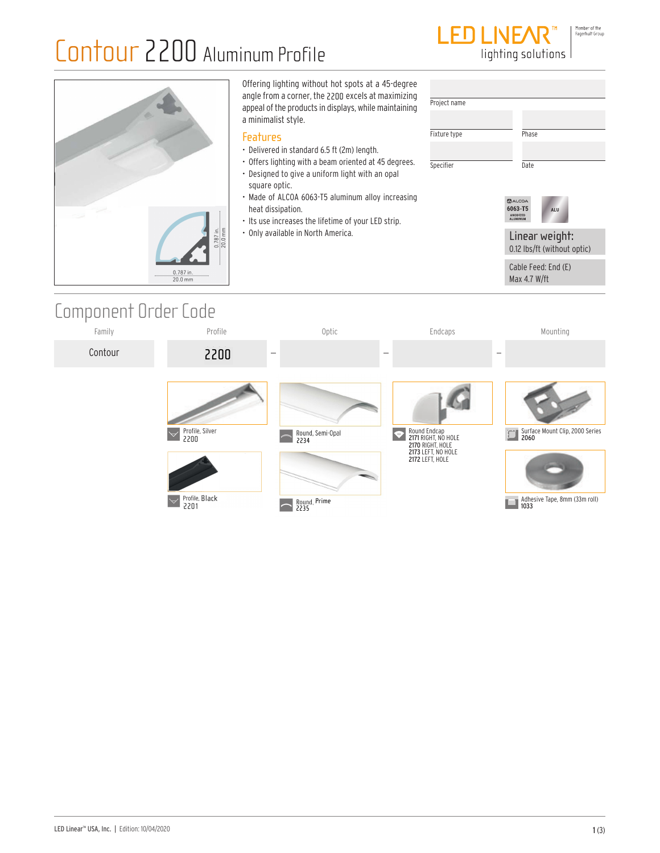### Contour 2200 Aluminum Profile



lighting solutions

|                                             | Offering lighting without hot spots at a 45-degree<br>angle from a corner, the 2200 excels at maximizing<br>appeal of the products in displays, while maintaining<br>a minimalist style.                                                                                                                                                                           | Project name              |                                                                                                                              |
|---------------------------------------------|--------------------------------------------------------------------------------------------------------------------------------------------------------------------------------------------------------------------------------------------------------------------------------------------------------------------------------------------------------------------|---------------------------|------------------------------------------------------------------------------------------------------------------------------|
| $\frac{0.787 \text{ in.}}{20.0 \text{ mm}}$ | <b>Features</b><br>• Delivered in standard 6.5 ft (2m) length.<br>• Offers lighting with a beam oriented at 45 degrees.<br>• Designed to give a uniform light with an opal<br>square optic.<br>• Made of ALCOA 6063-T5 aluminum alloy increasing<br>heat dissipation.<br>. Its use increases the lifetime of your LED strip.<br>• Only available in North America. | Fixture type<br>Specifier | Phase<br>Date<br>$2$ ALCOA<br>6063-T5<br>ALU<br>ANODIZED<br><b>ALUMINUS</b><br>Linear weight:<br>0.12 lbs/ft (without optic) |
| 0.787 in.<br>20.0 mm                        |                                                                                                                                                                                                                                                                                                                                                                    |                           | Cable Feed: End (E)<br>Max 4.7 W/ft                                                                                          |

### Component Order Code

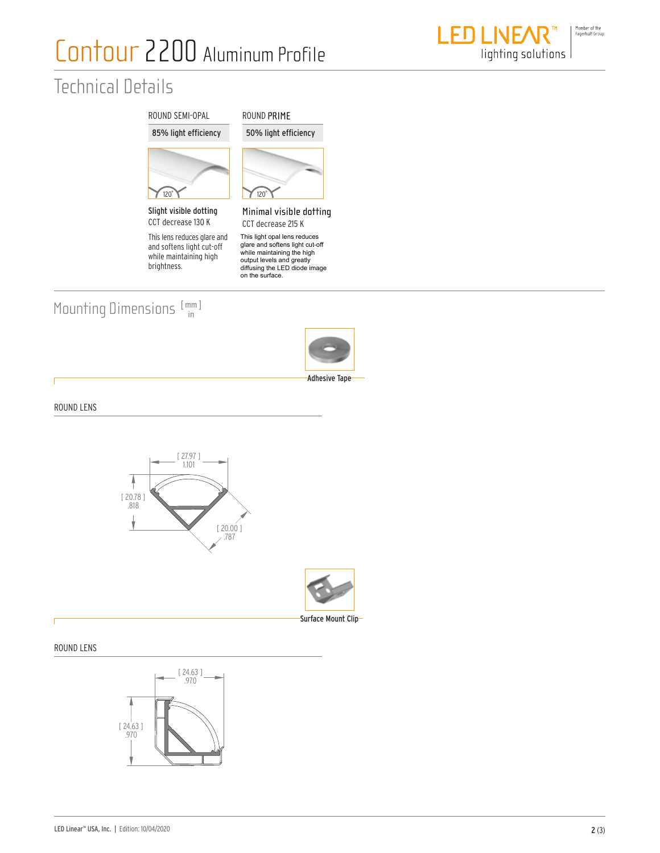# Contour 2200 Aluminum Profile

### Technical Details



This lens reduces glare and and softens light cut-off while maintaining high brightness.



This light opal lens reduce giare and softens lig<br>vhilo maintaining th while maintaining the right.<br>output levels and greatly<br>diffusing the LED diode image<br>on the surface. This light opal lens reduces<br>glare and softens light cut-off<br>while maintaining the high

#### Mounting Dimensions  $[\begin{smallmatrix} mm \ m \end{smallmatrix}]$



ROUND LENS



#### ROUND LENS